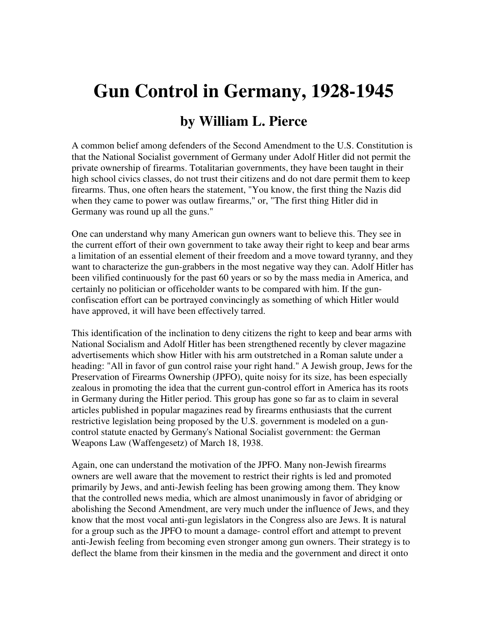## **Gun Control in Germany, 1928-1945**

## **by William L. Pierce**

A common belief among defenders of the Second Amendment to the U.S. Constitution is that the National Socialist government of Germany under Adolf Hitler did not permit the private ownership of firearms. Totalitarian governments, they have been taught in their high school civics classes, do not trust their citizens and do not dare permit them to keep firearms. Thus, one often hears the statement, "You know, the first thing the Nazis did when they came to power was outlaw firearms," or, "The first thing Hitler did in Germany was round up all the guns."

One can understand why many American gun owners want to believe this. They see in the current effort of their own government to take away their right to keep and bear arms a limitation of an essential element of their freedom and a move toward tyranny, and they want to characterize the gun-grabbers in the most negative way they can. Adolf Hitler has been vilified continuously for the past 60 years or so by the mass media in America, and certainly no politician or officeholder wants to be compared with him. If the gunconfiscation effort can be portrayed convincingly as something of which Hitler would have approved, it will have been effectively tarred.

This identification of the inclination to deny citizens the right to keep and bear arms with National Socialism and Adolf Hitler has been strengthened recently by clever magazine advertisements which show Hitler with his arm outstretched in a Roman salute under a heading: "All in favor of gun control raise your right hand." A Jewish group, Jews for the Preservation of Firearms Ownership (JPFO), quite noisy for its size, has been especially zealous in promoting the idea that the current gun-control effort in America has its roots in Germany during the Hitler period. This group has gone so far as to claim in several articles published in popular magazines read by firearms enthusiasts that the current restrictive legislation being proposed by the U.S. government is modeled on a guncontrol statute enacted by Germany's National Socialist government: the German Weapons Law (Waffengesetz) of March 18, 1938.

Again, one can understand the motivation of the JPFO. Many non-Jewish firearms owners are well aware that the movement to restrict their rights is led and promoted primarily by Jews, and anti-Jewish feeling has been growing among them. They know that the controlled news media, which are almost unanimously in favor of abridging or abolishing the Second Amendment, are very much under the influence of Jews, and they know that the most vocal anti-gun legislators in the Congress also are Jews. It is natural for a group such as the JPFO to mount a damage- control effort and attempt to prevent anti-Jewish feeling from becoming even stronger among gun owners. Their strategy is to deflect the blame from their kinsmen in the media and the government and direct it onto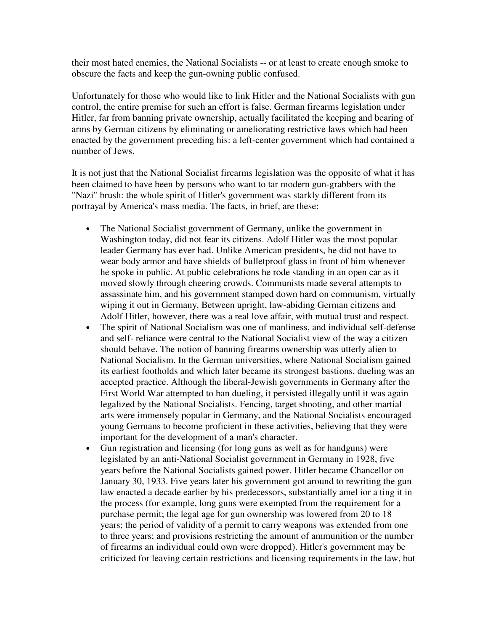their most hated enemies, the National Socialists -- or at least to create enough smoke to obscure the facts and keep the gun-owning public confused.

Unfortunately for those who would like to link Hitler and the National Socialists with gun control, the entire premise for such an effort is false. German firearms legislation under Hitler, far from banning private ownership, actually facilitated the keeping and bearing of arms by German citizens by eliminating or ameliorating restrictive laws which had been enacted by the government preceding his: a left-center government which had contained a number of Jews.

It is not just that the National Socialist firearms legislation was the opposite of what it has been claimed to have been by persons who want to tar modern gun-grabbers with the "Nazi" brush: the whole spirit of Hitler's government was starkly different from its portrayal by America's mass media. The facts, in brief, are these:

- The National Socialist government of Germany, unlike the government in Washington today, did not fear its citizens. Adolf Hitler was the most popular leader Germany has ever had. Unlike American presidents, he did not have to wear body armor and have shields of bulletproof glass in front of him whenever he spoke in public. At public celebrations he rode standing in an open car as it moved slowly through cheering crowds. Communists made several attempts to assassinate him, and his government stamped down hard on communism, virtually wiping it out in Germany. Between upright, law-abiding German citizens and Adolf Hitler, however, there was a real love affair, with mutual trust and respect.
- The spirit of National Socialism was one of manliness, and individual self-defense and self- reliance were central to the National Socialist view of the way a citizen should behave. The notion of banning firearms ownership was utterly alien to National Socialism. In the German universities, where National Socialism gained its earliest footholds and which later became its strongest bastions, dueling was an accepted practice. Although the liberal-Jewish governments in Germany after the First World War attempted to ban dueling, it persisted illegally until it was again legalized by the National Socialists. Fencing, target shooting, and other martial arts were immensely popular in Germany, and the National Socialists encouraged young Germans to become proficient in these activities, believing that they were important for the development of a man's character.
- Gun registration and licensing (for long guns as well as for handguns) were legislated by an anti-National Socialist government in Germany in 1928, five years before the National Socialists gained power. Hitler became Chancellor on January 30, 1933. Five years later his government got around to rewriting the gun law enacted a decade earlier by his predecessors, substantially amel ior a ting it in the process (for example, long guns were exempted from the requirement for a purchase permit; the legal age for gun ownership was lowered from 20 to 18 years; the period of validity of a permit to carry weapons was extended from one to three years; and provisions restricting the amount of ammunition or the number of firearms an individual could own were dropped). Hitler's government may be criticized for leaving certain restrictions and licensing requirements in the law, but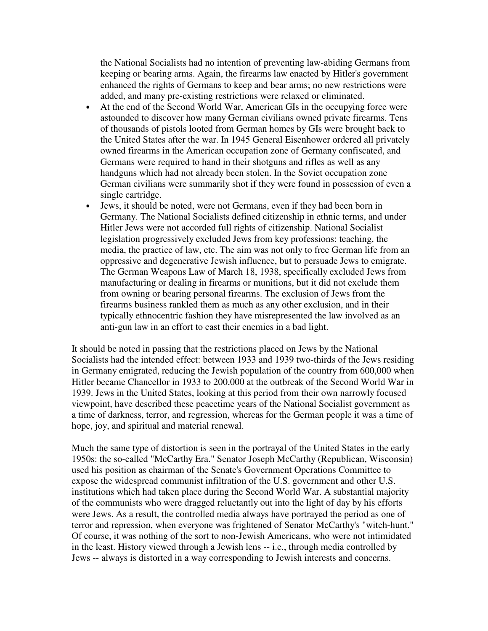the National Socialists had no intention of preventing law-abiding Germans from keeping or bearing arms. Again, the firearms law enacted by Hitler's government enhanced the rights of Germans to keep and bear arms; no new restrictions were added, and many pre-existing restrictions were relaxed or eliminated.

- At the end of the Second World War, American GIs in the occupying force were astounded to discover how many German civilians owned private firearms. Tens of thousands of pistols looted from German homes by GIs were brought back to the United States after the war. In 1945 General Eisenhower ordered all privately owned firearms in the American occupation zone of Germany confiscated, and Germans were required to hand in their shotguns and rifles as well as any handguns which had not already been stolen. In the Soviet occupation zone German civilians were summarily shot if they were found in possession of even a single cartridge.
- Jews, it should be noted, were not Germans, even if they had been born in Germany. The National Socialists defined citizenship in ethnic terms, and under Hitler Jews were not accorded full rights of citizenship. National Socialist legislation progressively excluded Jews from key professions: teaching, the media, the practice of law, etc. The aim was not only to free German life from an oppressive and degenerative Jewish influence, but to persuade Jews to emigrate. The German Weapons Law of March 18, 1938, specifically excluded Jews from manufacturing or dealing in firearms or munitions, but it did not exclude them from owning or bearing personal firearms. The exclusion of Jews from the firearms business rankled them as much as any other exclusion, and in their typically ethnocentric fashion they have misrepresented the law involved as an anti-gun law in an effort to cast their enemies in a bad light.

It should be noted in passing that the restrictions placed on Jews by the National Socialists had the intended effect: between 1933 and 1939 two-thirds of the Jews residing in Germany emigrated, reducing the Jewish population of the country from 600,000 when Hitler became Chancellor in 1933 to 200,000 at the outbreak of the Second World War in 1939. Jews in the United States, looking at this period from their own narrowly focused viewpoint, have described these peacetime years of the National Socialist government as a time of darkness, terror, and regression, whereas for the German people it was a time of hope, joy, and spiritual and material renewal.

Much the same type of distortion is seen in the portrayal of the United States in the early 1950s: the so-called "McCarthy Era." Senator Joseph McCarthy (Republican, Wisconsin) used his position as chairman of the Senate's Government Operations Committee to expose the widespread communist infiltration of the U.S. government and other U.S. institutions which had taken place during the Second World War. A substantial majority of the communists who were dragged reluctantly out into the light of day by his efforts were Jews. As a result, the controlled media always have portrayed the period as one of terror and repression, when everyone was frightened of Senator McCarthy's "witch-hunt." Of course, it was nothing of the sort to non-Jewish Americans, who were not intimidated in the least. History viewed through a Jewish lens -- i.e., through media controlled by Jews -- always is distorted in a way corresponding to Jewish interests and concerns.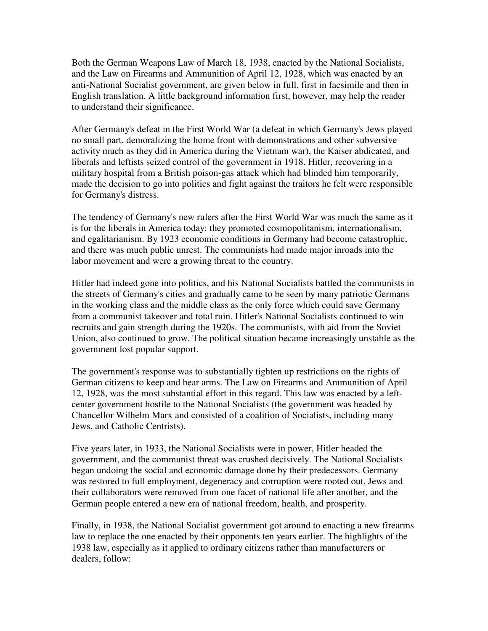Both the German Weapons Law of March 18, 1938, enacted by the National Socialists, and the Law on Firearms and Ammunition of April 12, 1928, which was enacted by an anti-National Socialist government, are given below in full, first in facsimile and then in English translation. A little background information first, however, may help the reader to understand their significance.

After Germany's defeat in the First World War (a defeat in which Germany's Jews played no small part, demoralizing the home front with demonstrations and other subversive activity much as they did in America during the Vietnam war), the Kaiser abdicated, and liberals and leftists seized control of the government in 1918. Hitler, recovering in a military hospital from a British poison-gas attack which had blinded him temporarily, made the decision to go into politics and fight against the traitors he felt were responsible for Germany's distress.

The tendency of Germany's new rulers after the First World War was much the same as it is for the liberals in America today: they promoted cosmopolitanism, internationalism, and egalitarianism. By 1923 economic conditions in Germany had become catastrophic, and there was much public unrest. The communists had made major inroads into the labor movement and were a growing threat to the country.

Hitler had indeed gone into politics, and his National Socialists battled the communists in the streets of Germany's cities and gradually came to be seen by many patriotic Germans in the working class and the middle class as the only force which could save Germany from a communist takeover and total ruin. Hitler's National Socialists continued to win recruits and gain strength during the 1920s. The communists, with aid from the Soviet Union, also continued to grow. The political situation became increasingly unstable as the government lost popular support.

The government's response was to substantially tighten up restrictions on the rights of German citizens to keep and bear arms. The Law on Firearms and Ammunition of April 12, 1928, was the most substantial effort in this regard. This law was enacted by a leftcenter government hostile to the National Socialists (the government was headed by Chancellor Wilhelm Marx and consisted of a coalition of Socialists, including many Jews, and Catholic Centrists).

Five years later, in 1933, the National Socialists were in power, Hitler headed the government, and the communist threat was crushed decisively. The National Socialists began undoing the social and economic damage done by their predecessors. Germany was restored to full employment, degeneracy and corruption were rooted out, Jews and their collaborators were removed from one facet of national life after another, and the German people entered a new era of national freedom, health, and prosperity.

Finally, in 1938, the National Socialist government got around to enacting a new firearms law to replace the one enacted by their opponents ten years earlier. The highlights of the 1938 law, especially as it applied to ordinary citizens rather than manufacturers or dealers, follow: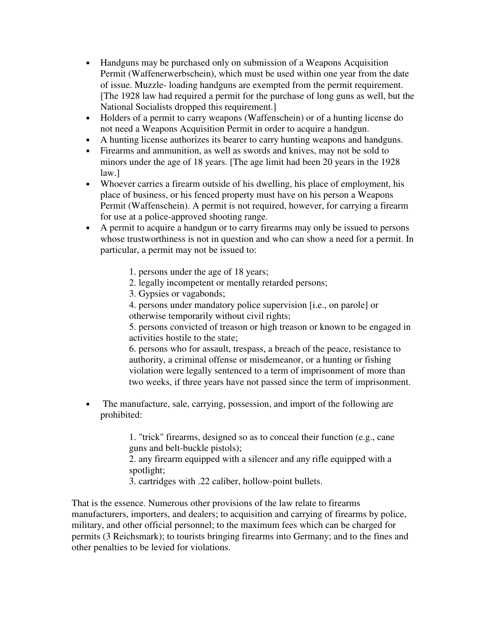- Handguns may be purchased only on submission of a Weapons Acquisition Permit (Waffenerwerbschein), which must be used within one year from the date of issue. Muzzle- loading handguns are exempted from the permit requirement. [The 1928 law had required a permit for the purchase of long guns as well, but the National Socialists dropped this requirement.]
- Holders of a permit to carry weapons (Waffenschein) or of a hunting license do not need a Weapons Acquisition Permit in order to acquire a handgun.
- A hunting license authorizes its bearer to carry hunting weapons and handguns.
- Firearms and ammunition, as well as swords and knives, may not be sold to minors under the age of 18 years. [The age limit had been 20 years in the 1928 law.]
- Whoever carries a firearm outside of his dwelling, his place of employment, his place of business, or his fenced property must have on his person a Weapons Permit (Waffenschein). A permit is not required, however, for carrying a firearm for use at a police-approved shooting range.
- A permit to acquire a handgun or to carry firearms may only be issued to persons whose trustworthiness is not in question and who can show a need for a permit. In particular, a permit may not be issued to:
	- 1. persons under the age of 18 years;
	- 2. legally incompetent or mentally retarded persons;
	- 3. Gypsies or vagabonds;
	- 4. persons under mandatory police supervision [i.e., on parole] or otherwise temporarily without civil rights;

5. persons convicted of treason or high treason or known to be engaged in activities hostile to the state;

6. persons who for assault, trespass, a breach of the peace, resistance to authority, a criminal offense or misdemeanor, or a hunting or fishing violation were legally sentenced to a term of imprisonment of more than two weeks, if three years have not passed since the term of imprisonment.

• The manufacture, sale, carrying, possession, and import of the following are prohibited:

> 1. "trick" firearms, designed so as to conceal their function (e.g., cane guns and belt-buckle pistols);

> 2. any firearm equipped with a silencer and any rifle equipped with a spotlight;

3. cartridges with .22 caliber, hollow-point bullets.

That is the essence. Numerous other provisions of the law relate to firearms manufacturers, importers, and dealers; to acquisition and carrying of firearms by police, military, and other official personnel; to the maximum fees which can be charged for permits (3 Reichsmark); to tourists bringing firearms into Germany; and to the fines and other penalties to be levied for violations.